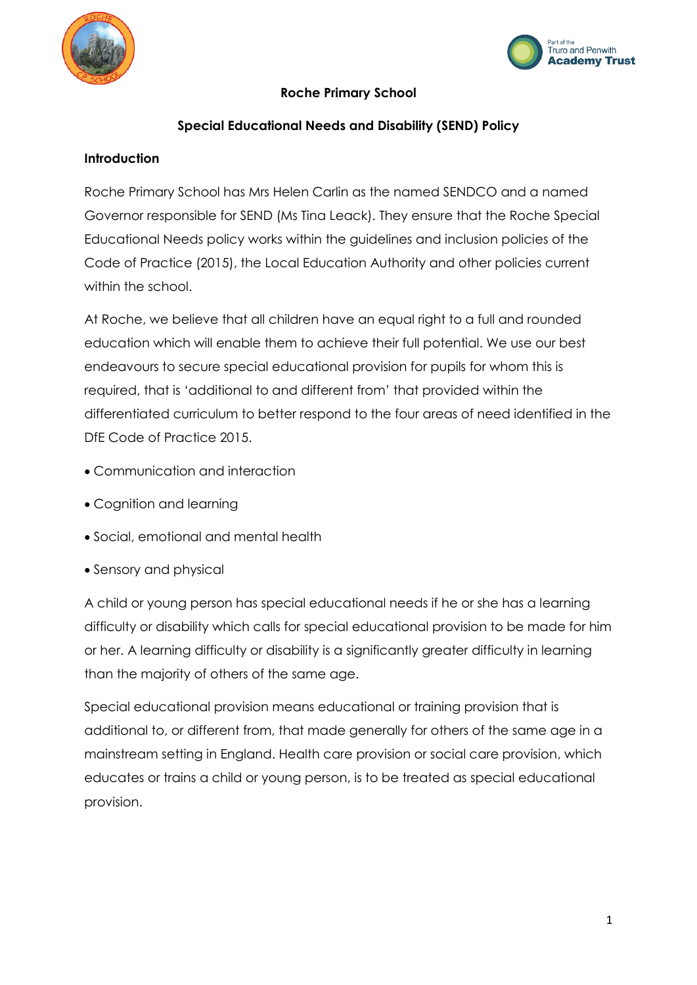



## **Roche Primary School**

### **Special Educational Needs and Disability (SEND) Policy**

#### **Introduction**

Roche Primary School has Mrs Helen Carlin as the named SENDCO and a named Governor responsible for SEND (Ms Tina Leack). They ensure that the Roche Special Educational Needs policy works within the guidelines and inclusion policies of the Code of Practice (2015), the Local Education Authority and other policies current within the school.

At Roche, we believe that all children have an equal right to a full and rounded education which will enable them to achieve their full potential. We use our best endeavours to secure special educational provision for pupils for whom this is required, that is 'additional to and different from' that provided within the differentiated curriculum to better respond to the four areas of need identified in the DfE Code of Practice 2015.

- Communication and interaction
- Cognition and learning
- Social, emotional and mental health
- Sensory and physical

A child or young person has special educational needs if he or she has a learning difficulty or disability which calls for special educational provision to be made for him or her. A learning difficulty or disability is a significantly greater difficulty in learning than the majority of others of the same age.

Special educational provision means educational or training provision that is additional to, or different from, that made generally for others of the same age in a mainstream setting in England. Health care provision or social care provision, which educates or trains a child or young person, is to be treated as special educational provision.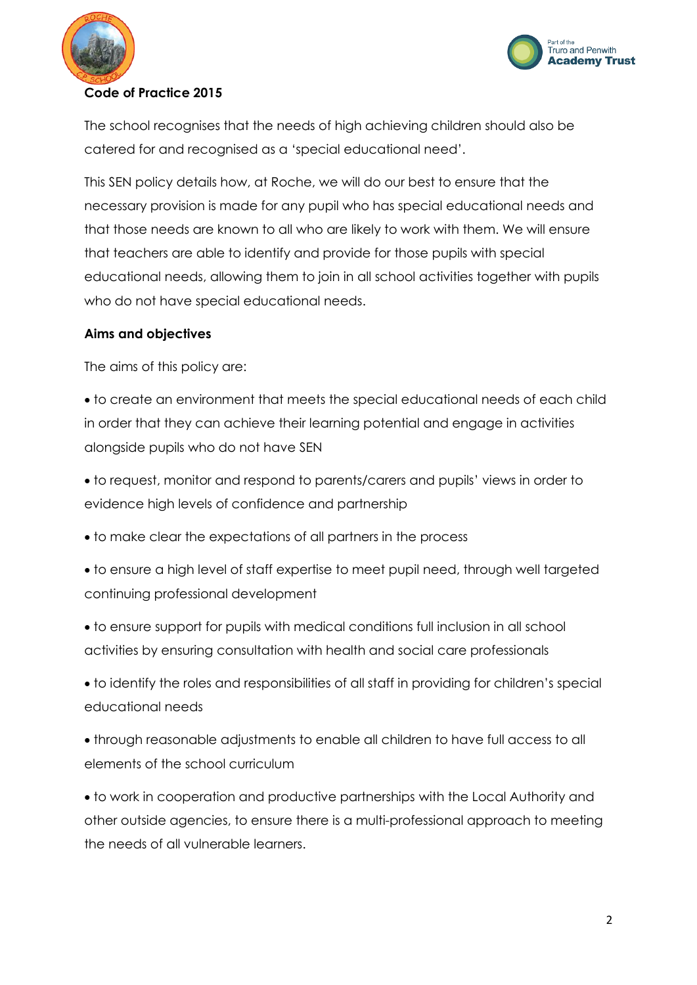



## **Code of Practice 2015**

The school recognises that the needs of high achieving children should also be catered for and recognised as a 'special educational need'.

This SEN policy details how, at Roche, we will do our best to ensure that the necessary provision is made for any pupil who has special educational needs and that those needs are known to all who are likely to work with them. We will ensure that teachers are able to identify and provide for those pupils with special educational needs, allowing them to join in all school activities together with pupils who do not have special educational needs.

#### **Aims and objectives**

The aims of this policy are:

 to create an environment that meets the special educational needs of each child in order that they can achieve their learning potential and engage in activities alongside pupils who do not have SEN

 to request, monitor and respond to parents/carers and pupils' views in order to evidence high levels of confidence and partnership

to make clear the expectations of all partners in the process

 to ensure a high level of staff expertise to meet pupil need, through well targeted continuing professional development

 to ensure support for pupils with medical conditions full inclusion in all school activities by ensuring consultation with health and social care professionals

 to identify the roles and responsibilities of all staff in providing for children's special educational needs

 through reasonable adjustments to enable all children to have full access to all elements of the school curriculum

 to work in cooperation and productive partnerships with the Local Authority and other outside agencies, to ensure there is a multi-professional approach to meeting the needs of all vulnerable learners.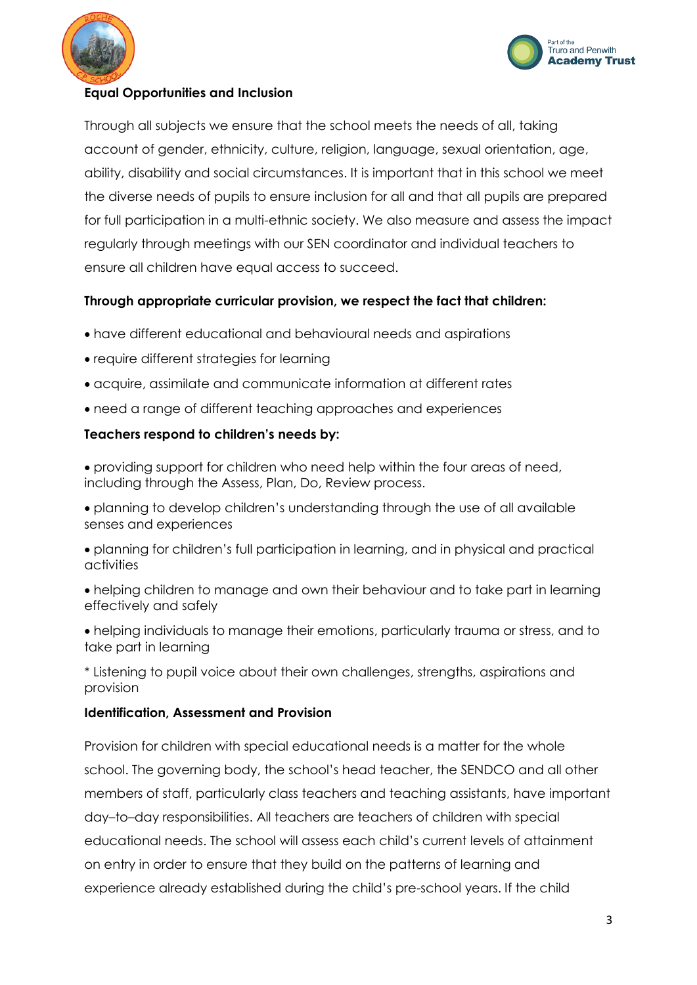



# **Equal Opportunities and Inclusion**

Through all subjects we ensure that the school meets the needs of all, taking account of gender, ethnicity, culture, religion, language, sexual orientation, age, ability, disability and social circumstances. It is important that in this school we meet the diverse needs of pupils to ensure inclusion for all and that all pupils are prepared for full participation in a multi-ethnic society. We also measure and assess the impact regularly through meetings with our SEN coordinator and individual teachers to ensure all children have equal access to succeed.

# **Through appropriate curricular provision, we respect the fact that children:**

- have different educational and behavioural needs and aspirations
- require different strategies for learning
- acquire, assimilate and communicate information at different rates
- need a range of different teaching approaches and experiences

## **Teachers respond to children's needs by:**

- providing support for children who need help within the four areas of need, including through the Assess, Plan, Do, Review process.
- planning to develop children's understanding through the use of all available senses and experiences
- planning for children's full participation in learning, and in physical and practical activities
- helping children to manage and own their behaviour and to take part in learning effectively and safely
- helping individuals to manage their emotions, particularly trauma or stress, and to take part in learning
- \* Listening to pupil voice about their own challenges, strengths, aspirations and provision

### **Identification, Assessment and Provision**

Provision for children with special educational needs is a matter for the whole school. The governing body, the school's head teacher, the SENDCO and all other members of staff, particularly class teachers and teaching assistants, have important day–to–day responsibilities. All teachers are teachers of children with special educational needs. The school will assess each child's current levels of attainment on entry in order to ensure that they build on the patterns of learning and experience already established during the child's pre-school years. If the child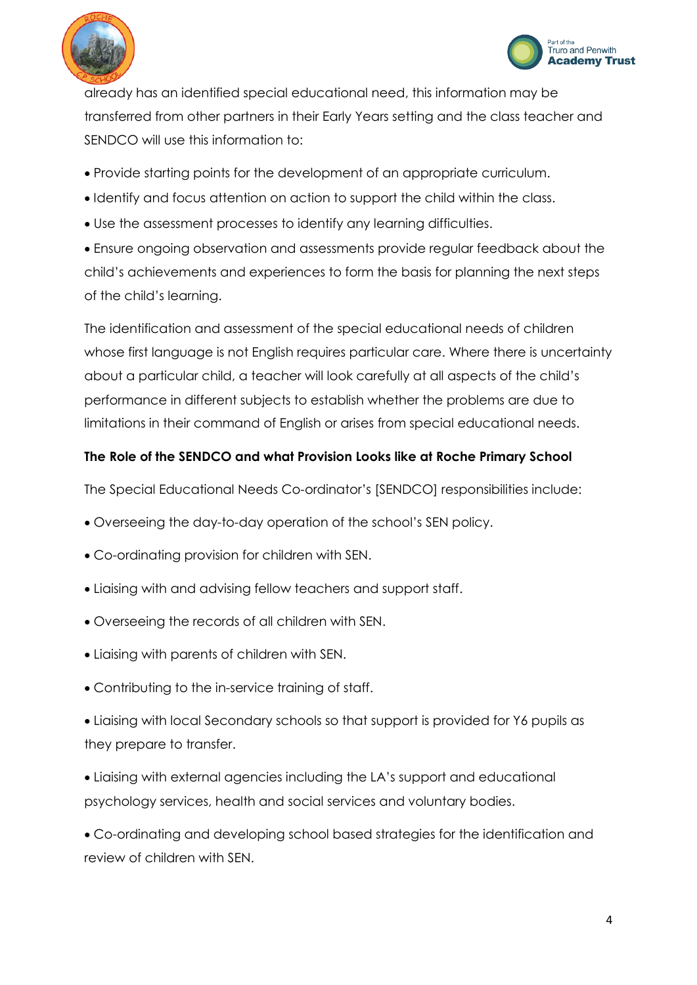



already has an identified special educational need, this information may be transferred from other partners in their Early Years setting and the class teacher and SENDCO will use this information to:

- Provide starting points for the development of an appropriate curriculum.
- Identify and focus attention on action to support the child within the class.
- Use the assessment processes to identify any learning difficulties.

 Ensure ongoing observation and assessments provide regular feedback about the child's achievements and experiences to form the basis for planning the next steps of the child's learning.

The identification and assessment of the special educational needs of children whose first language is not English requires particular care. Where there is uncertainty about a particular child, a teacher will look carefully at all aspects of the child's performance in different subjects to establish whether the problems are due to limitations in their command of English or arises from special educational needs.

# **The Role of the SENDCO and what Provision Looks like at Roche Primary School**

The Special Educational Needs Co-ordinator's [SENDCO] responsibilities include:

- Overseeing the day-to-day operation of the school's SEN policy.
- Co-ordinating provision for children with SEN.
- Liaising with and advising fellow teachers and support staff.
- Overseeing the records of all children with SEN.
- Liaising with parents of children with SEN.
- Contributing to the in-service training of staff.
- Liaising with local Secondary schools so that support is provided for Y6 pupils as they prepare to transfer.
- Liaising with external agencies including the LA's support and educational psychology services, health and social services and voluntary bodies.

 Co-ordinating and developing school based strategies for the identification and review of children with SEN.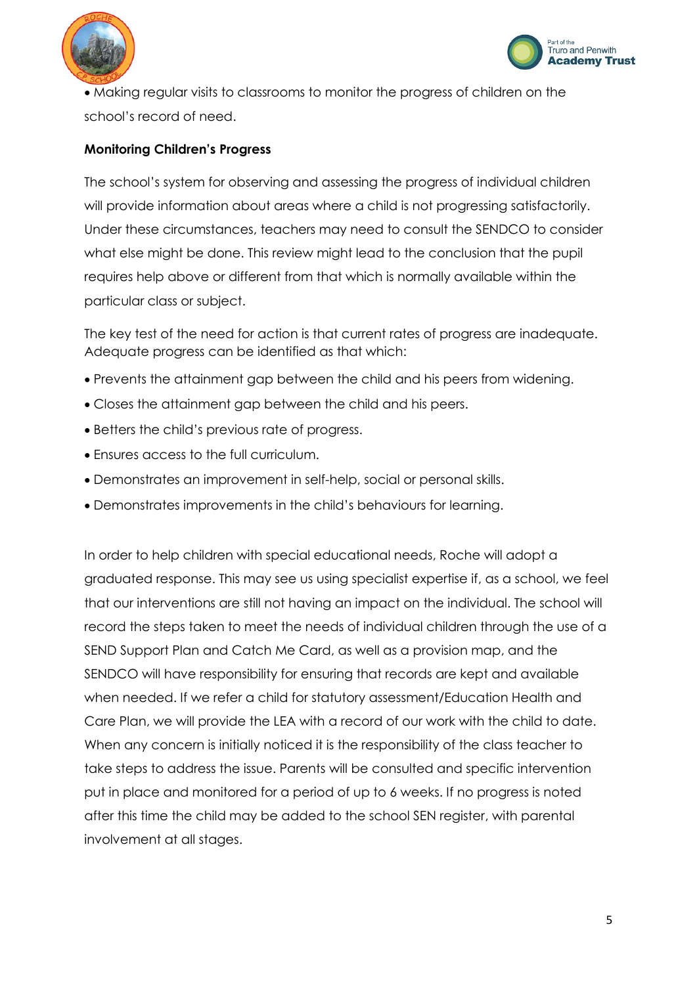



 Making regular visits to classrooms to monitor the progress of children on the school's record of need.

#### **Monitoring Children's Progress**

The school's system for observing and assessing the progress of individual children will provide information about areas where a child is not progressing satisfactorily. Under these circumstances, teachers may need to consult the SENDCO to consider what else might be done. This review might lead to the conclusion that the pupil requires help above or different from that which is normally available within the particular class or subject.

The key test of the need for action is that current rates of progress are inadequate. Adequate progress can be identified as that which:

- Prevents the attainment gap between the child and his peers from widening.
- Closes the attainment gap between the child and his peers.
- Betters the child's previous rate of progress.
- Ensures access to the full curriculum.
- Demonstrates an improvement in self-help, social or personal skills.
- Demonstrates improvements in the child's behaviours for learning.

In order to help children with special educational needs, Roche will adopt a graduated response. This may see us using specialist expertise if, as a school, we feel that our interventions are still not having an impact on the individual. The school will record the steps taken to meet the needs of individual children through the use of a SEND Support Plan and Catch Me Card, as well as a provision map, and the SENDCO will have responsibility for ensuring that records are kept and available when needed. If we refer a child for statutory assessment/Education Health and Care Plan, we will provide the LEA with a record of our work with the child to date. When any concern is initially noticed it is the responsibility of the class teacher to take steps to address the issue. Parents will be consulted and specific intervention put in place and monitored for a period of up to 6 weeks. If no progress is noted after this time the child may be added to the school SEN register, with parental involvement at all stages.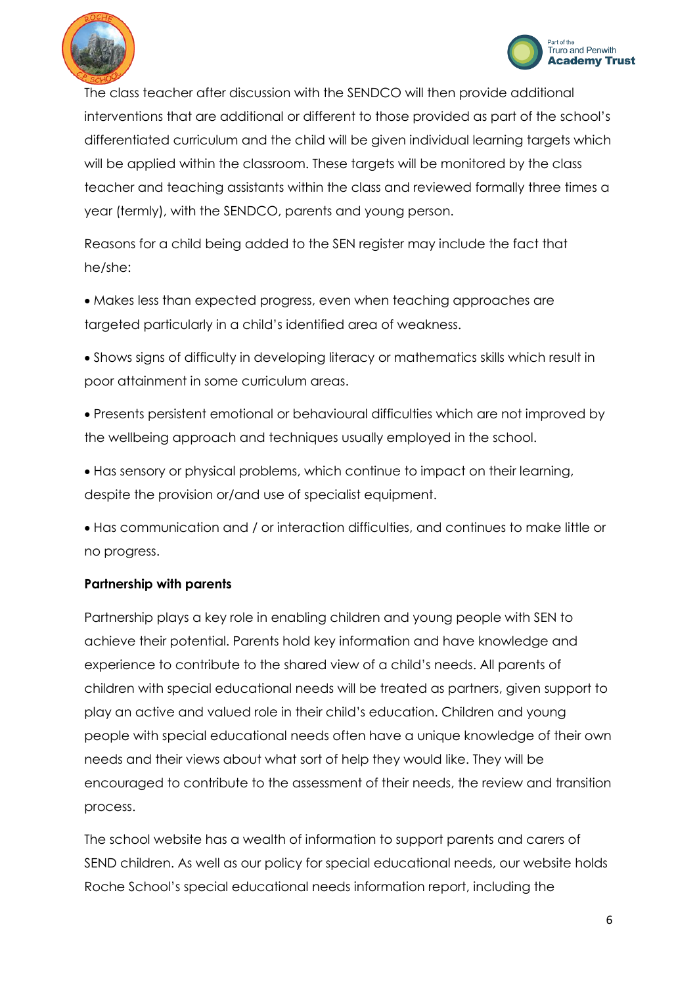



The class teacher after discussion with the SENDCO will then provide additional interventions that are additional or different to those provided as part of the school's differentiated curriculum and the child will be given individual learning targets which will be applied within the classroom. These targets will be monitored by the class teacher and teaching assistants within the class and reviewed formally three times a year (termly), with the SENDCO, parents and young person.

Reasons for a child being added to the SEN register may include the fact that he/she:

 Makes less than expected progress, even when teaching approaches are targeted particularly in a child's identified area of weakness.

 Shows signs of difficulty in developing literacy or mathematics skills which result in poor attainment in some curriculum areas.

 Presents persistent emotional or behavioural difficulties which are not improved by the wellbeing approach and techniques usually employed in the school.

 Has sensory or physical problems, which continue to impact on their learning, despite the provision or/and use of specialist equipment.

 Has communication and / or interaction difficulties, and continues to make little or no progress.

# **Partnership with parents**

Partnership plays a key role in enabling children and young people with SEN to achieve their potential. Parents hold key information and have knowledge and experience to contribute to the shared view of a child's needs. All parents of children with special educational needs will be treated as partners, given support to play an active and valued role in their child's education. Children and young people with special educational needs often have a unique knowledge of their own needs and their views about what sort of help they would like. They will be encouraged to contribute to the assessment of their needs, the review and transition process.

The school website has a wealth of information to support parents and carers of SEND children. As well as our policy for special educational needs, our website holds Roche School's special educational needs information report, including the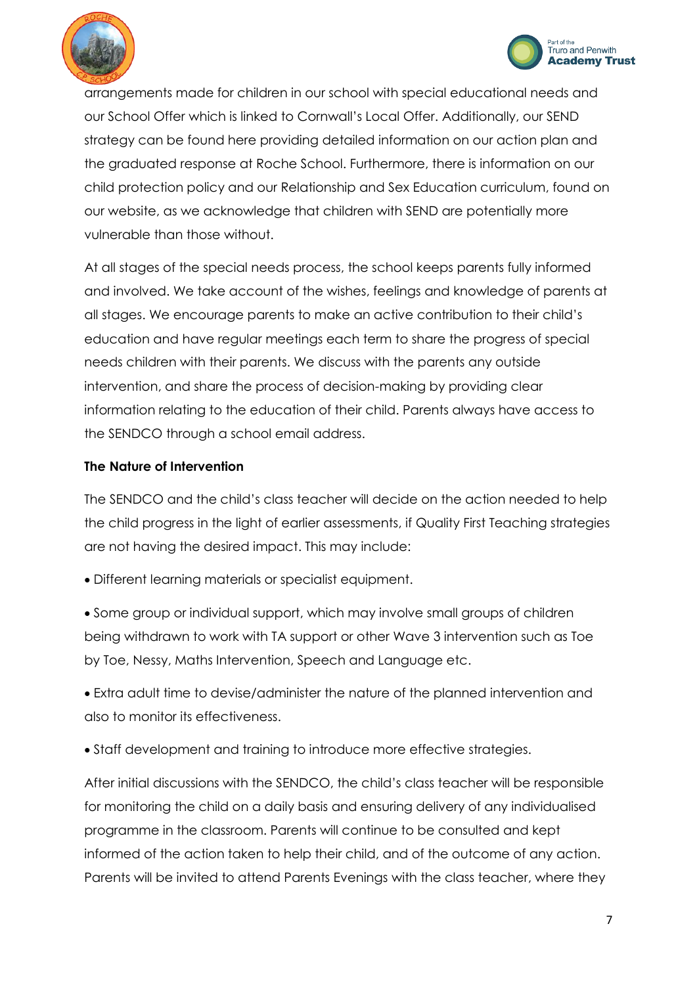



arrangements made for children in our school with special educational needs and our School Offer which is linked to Cornwall's Local Offer. Additionally, our SEND strategy can be found here providing detailed information on our action plan and the graduated response at Roche School. Furthermore, there is information on our child protection policy and our Relationship and Sex Education curriculum, found on our website, as we acknowledge that children with SEND are potentially more vulnerable than those without.

At all stages of the special needs process, the school keeps parents fully informed and involved. We take account of the wishes, feelings and knowledge of parents at all stages. We encourage parents to make an active contribution to their child's education and have regular meetings each term to share the progress of special needs children with their parents. We discuss with the parents any outside intervention, and share the process of decision-making by providing clear information relating to the education of their child. Parents always have access to the SENDCO through a school email address.

## **The Nature of Intervention**

The SENDCO and the child's class teacher will decide on the action needed to help the child progress in the light of earlier assessments, if Quality First Teaching strategies are not having the desired impact. This may include:

Different learning materials or specialist equipment.

 Some group or individual support, which may involve small groups of children being withdrawn to work with TA support or other Wave 3 intervention such as Toe by Toe, Nessy, Maths Intervention, Speech and Language etc.

 Extra adult time to devise/administer the nature of the planned intervention and also to monitor its effectiveness.

Staff development and training to introduce more effective strategies.

After initial discussions with the SENDCO, the child's class teacher will be responsible for monitoring the child on a daily basis and ensuring delivery of any individualised programme in the classroom. Parents will continue to be consulted and kept informed of the action taken to help their child, and of the outcome of any action. Parents will be invited to attend Parents Evenings with the class teacher, where they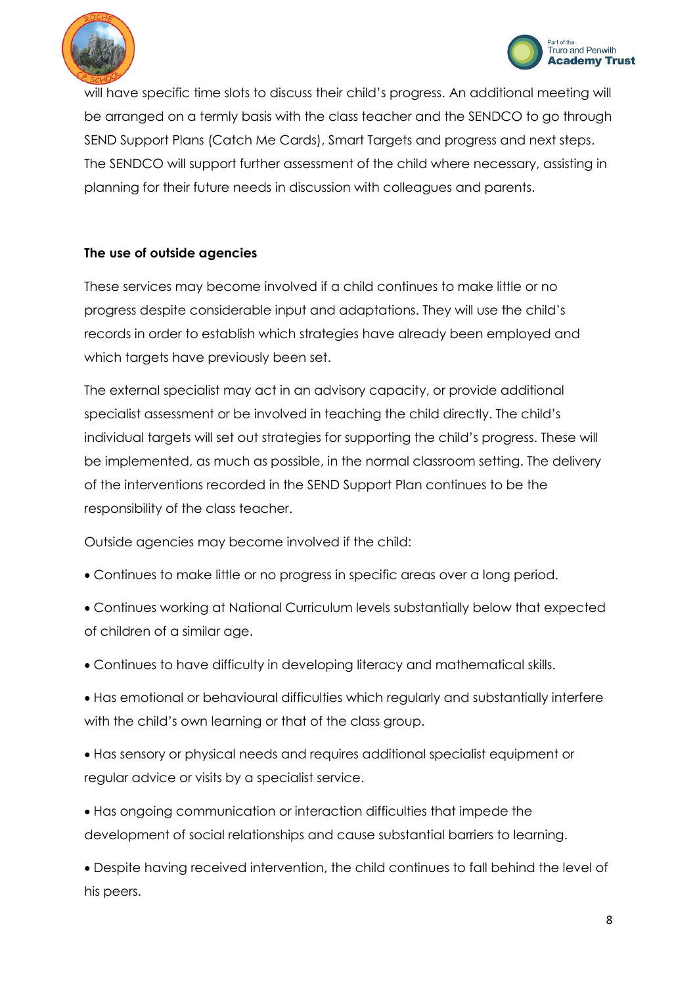



will have specific time slots to discuss their child's progress. An additional meeting will be arranged on a termly basis with the class teacher and the SENDCO to go through SEND Support Plans (Catch Me Cards), Smart Targets and progress and next steps. The SENDCO will support further assessment of the child where necessary, assisting in planning for their future needs in discussion with colleagues and parents.

# **The use of outside agencies**

These services may become involved if a child continues to make little or no progress despite considerable input and adaptations. They will use the child's records in order to establish which strategies have already been employed and which targets have previously been set.

The external specialist may act in an advisory capacity, or provide additional specialist assessment or be involved in teaching the child directly. The child's individual targets will set out strategies for supporting the child's progress. These will be implemented, as much as possible, in the normal classroom setting. The delivery of the interventions recorded in the SEND Support Plan continues to be the responsibility of the class teacher.

Outside agencies may become involved if the child:

- Continues to make little or no progress in specific areas over a long period.
- Continues working at National Curriculum levels substantially below that expected of children of a similar age.
- Continues to have difficulty in developing literacy and mathematical skills.
- Has emotional or behavioural difficulties which regularly and substantially interfere with the child's own learning or that of the class group.
- Has sensory or physical needs and requires additional specialist equipment or regular advice or visits by a specialist service.
- Has ongoing communication or interaction difficulties that impede the development of social relationships and cause substantial barriers to learning.

 Despite having received intervention, the child continues to fall behind the level of his peers.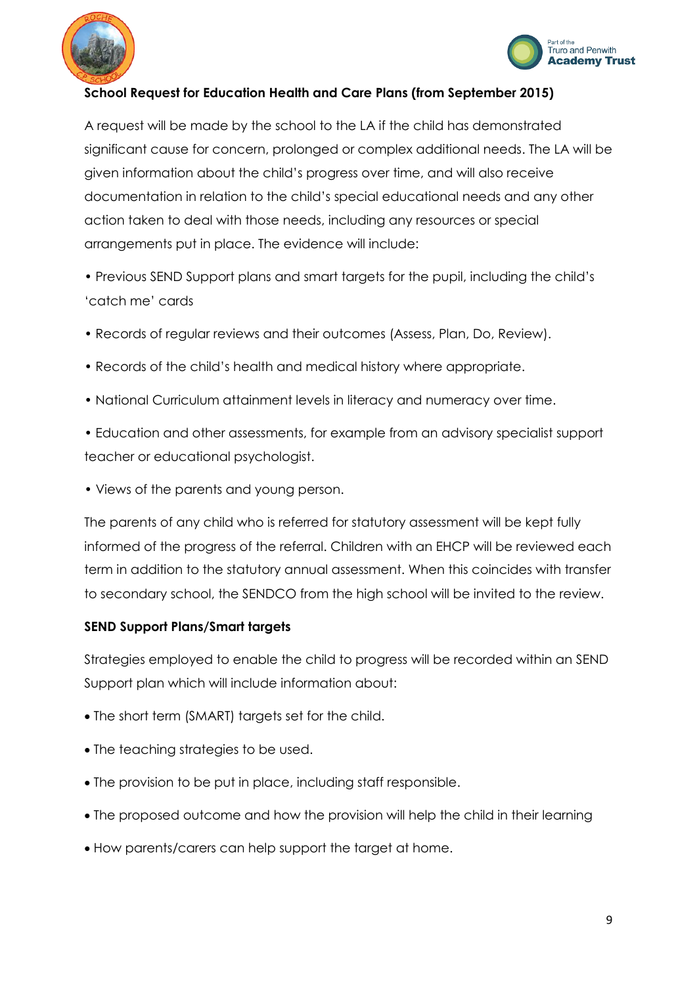



## **School Request for Education Health and Care Plans (from September 2015)**

A request will be made by the school to the LA if the child has demonstrated significant cause for concern, prolonged or complex additional needs. The LA will be given information about the child's progress over time, and will also receive documentation in relation to the child's special educational needs and any other action taken to deal with those needs, including any resources or special arrangements put in place. The evidence will include:

• Previous SEND Support plans and smart targets for the pupil, including the child's 'catch me' cards

- Records of regular reviews and their outcomes (Assess, Plan, Do, Review).
- Records of the child's health and medical history where appropriate.
- National Curriculum attainment levels in literacy and numeracy over time.
- Education and other assessments, for example from an advisory specialist support teacher or educational psychologist.
- Views of the parents and young person.

The parents of any child who is referred for statutory assessment will be kept fully informed of the progress of the referral. Children with an EHCP will be reviewed each term in addition to the statutory annual assessment. When this coincides with transfer to secondary school, the SENDCO from the high school will be invited to the review.

#### **SEND Support Plans/Smart targets**

Strategies employed to enable the child to progress will be recorded within an SEND Support plan which will include information about:

- The short term (SMART) targets set for the child.
- The teaching strategies to be used.
- The provision to be put in place, including staff responsible.
- The proposed outcome and how the provision will help the child in their learning
- How parents/carers can help support the target at home.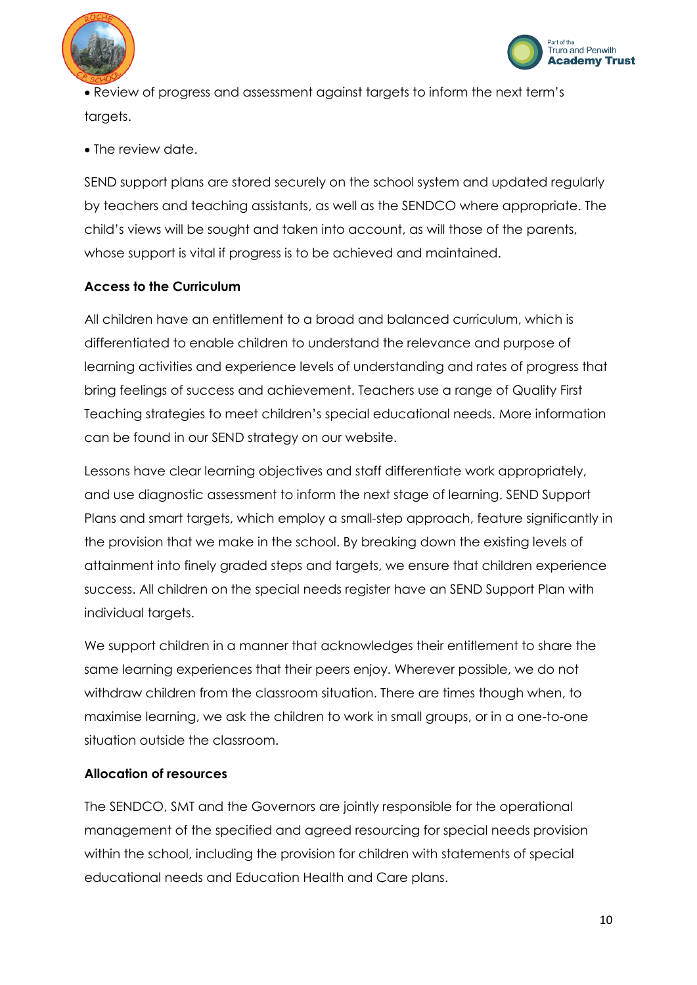



 Review of progress and assessment against targets to inform the next term's targets.

• The review date.

SEND support plans are stored securely on the school system and updated regularly by teachers and teaching assistants, as well as the SENDCO where appropriate. The child's views will be sought and taken into account, as will those of the parents, whose support is vital if progress is to be achieved and maintained.

# **Access to the Curriculum**

All children have an entitlement to a broad and balanced curriculum, which is differentiated to enable children to understand the relevance and purpose of learning activities and experience levels of understanding and rates of progress that bring feelings of success and achievement. Teachers use a range of Quality First Teaching strategies to meet children's special educational needs. More information can be found in our SEND strategy on our website.

Lessons have clear learning objectives and staff differentiate work appropriately, and use diagnostic assessment to inform the next stage of learning. SEND Support Plans and smart targets, which employ a small-step approach, feature significantly in the provision that we make in the school. By breaking down the existing levels of attainment into finely graded steps and targets, we ensure that children experience success. All children on the special needs register have an SEND Support Plan with individual targets.

We support children in a manner that acknowledges their entitlement to share the same learning experiences that their peers enjoy. Wherever possible, we do not withdraw children from the classroom situation. There are times though when, to maximise learning, we ask the children to work in small groups, or in a one-to-one situation outside the classroom.

# **Allocation of resources**

The SENDCO, SMT and the Governors are jointly responsible for the operational management of the specified and agreed resourcing for special needs provision within the school, including the provision for children with statements of special educational needs and Education Health and Care plans.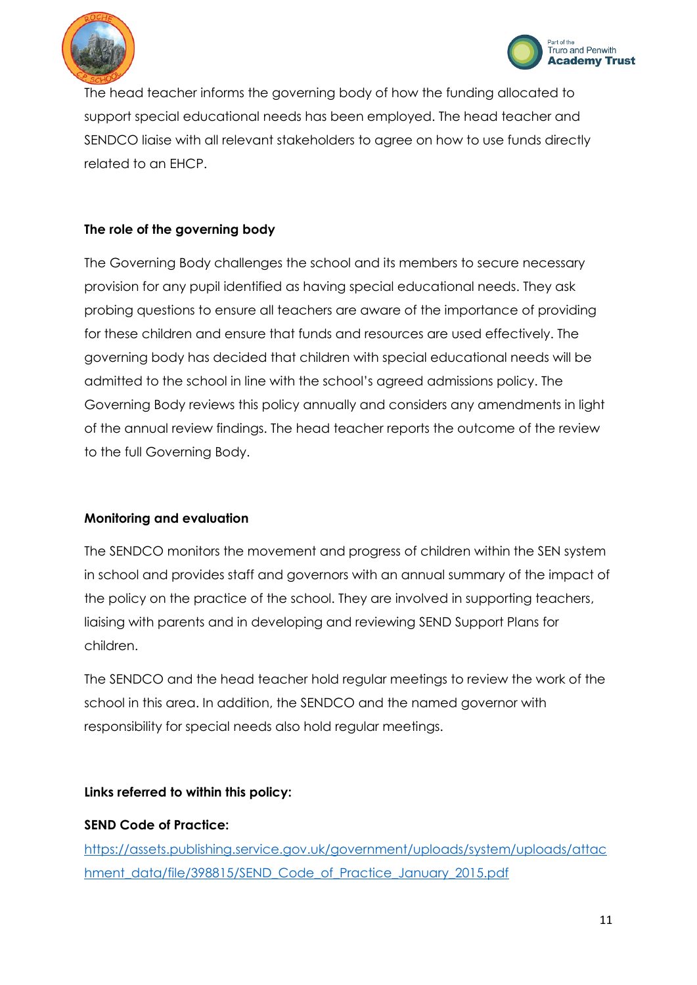



The head teacher informs the governing body of how the funding allocated to support special educational needs has been employed. The head teacher and SENDCO liaise with all relevant stakeholders to agree on how to use funds directly related to an EHCP.

# **The role of the governing body**

The Governing Body challenges the school and its members to secure necessary provision for any pupil identified as having special educational needs. They ask probing questions to ensure all teachers are aware of the importance of providing for these children and ensure that funds and resources are used effectively. The governing body has decided that children with special educational needs will be admitted to the school in line with the school's agreed admissions policy. The Governing Body reviews this policy annually and considers any amendments in light of the annual review findings. The head teacher reports the outcome of the review to the full Governing Body.

# **Monitoring and evaluation**

The SENDCO monitors the movement and progress of children within the SEN system in school and provides staff and governors with an annual summary of the impact of the policy on the practice of the school. They are involved in supporting teachers, liaising with parents and in developing and reviewing SEND Support Plans for children.

The SENDCO and the head teacher hold regular meetings to review the work of the school in this area. In addition, the SENDCO and the named governor with responsibility for special needs also hold regular meetings.

# **Links referred to within this policy:**

# **SEND Code of Practice:**

[https://assets.publishing.service.gov.uk/government/uploads/system/uploads/attac](https://assets.publishing.service.gov.uk/government/uploads/system/uploads/attac%20hment_data/file/398815/SEND_Code_of_Practice_January_2015.pdf)  hment data/file/398815/SEND Code of Practice January 2015.pdf